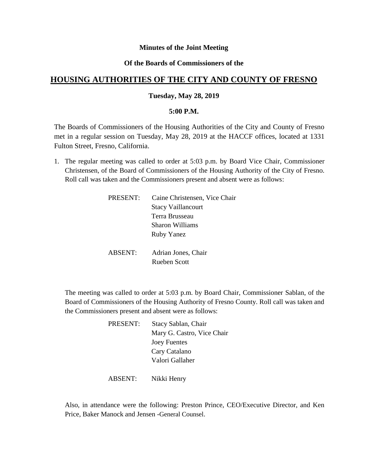### **Minutes of the Joint Meeting**

## **Of the Boards of Commissioners of the**

# **HOUSING AUTHORITIES OF THE CITY AND COUNTY OF FRESNO**

### **Tuesday, May 28, 2019**

#### **5:00 P.M.**

The Boards of Commissioners of the Housing Authorities of the City and County of Fresno met in a regular session on Tuesday, May 28, 2019 at the HACCF offices, located at 1331 Fulton Street, Fresno, California.

1. The regular meeting was called to order at 5:03 p.m. by Board Vice Chair, Commissioner Christensen, of the Board of Commissioners of the Housing Authority of the City of Fresno. Roll call was taken and the Commissioners present and absent were as follows:

| PRESENT:       | Caine Christensen, Vice Chair |
|----------------|-------------------------------|
|                | <b>Stacy Vaillancourt</b>     |
|                | Terra Brusseau                |
|                | Sharon Williams               |
|                | <b>Ruby Yanez</b>             |
|                |                               |
| <b>ABSENT:</b> | Adrian Jones, Chair           |
|                | Rueben Scott                  |
|                |                               |

The meeting was called to order at 5:03 p.m. by Board Chair, Commissioner Sablan, of the Board of Commissioners of the Housing Authority of Fresno County. Roll call was taken and the Commissioners present and absent were as follows:

| PRESENT: | Stacy Sablan, Chair        |
|----------|----------------------------|
|          | Mary G. Castro, Vice Chair |
|          | <b>Joey Fuentes</b>        |
|          | Cary Catalano              |
|          | Valori Gallaher            |
|          |                            |

ABSENT: Nikki Henry

Also, in attendance were the following: Preston Prince, CEO/Executive Director, and Ken Price, Baker Manock and Jensen -General Counsel.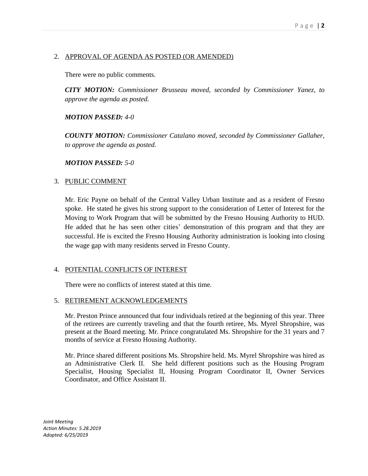# 2. APPROVAL OF AGENDA AS POSTED (OR AMENDED)

There were no public comments.

*CITY MOTION: Commissioner Brusseau moved, seconded by Commissioner Yanez, to approve the agenda as posted.*

### *MOTION PASSED: 4-0*

*COUNTY MOTION: Commissioner Catalano moved, seconded by Commissioner Gallaher, to approve the agenda as posted.*

#### *MOTION PASSED: 5-0*

### 3. PUBLIC COMMENT

Mr. Eric Payne on behalf of the Central Valley Urban Institute and as a resident of Fresno spoke. He stated he gives his strong support to the consideration of Letter of Interest for the Moving to Work Program that will be submitted by the Fresno Housing Authority to HUD. He added that he has seen other cities' demonstration of this program and that they are successful. He is excited the Fresno Housing Authority administration is looking into closing the wage gap with many residents served in Fresno County.

### 4. POTENTIAL CONFLICTS OF INTEREST

There were no conflicts of interest stated at this time.

### 5. RETIREMENT ACKNOWLEDGEMENTS

Mr. Preston Prince announced that four individuals retired at the beginning of this year. Three of the retirees are currently traveling and that the fourth retiree, Ms. Myrel Shropshire, was present at the Board meeting. Mr. Prince congratulated Ms. Shropshire for the 31 years and 7 months of service at Fresno Housing Authority.

Mr. Prince shared different positions Ms. Shropshire held. Ms. Myrel Shropshire was hired as an Administrative Clerk II. She held different positions such as the Housing Program Specialist, Housing Specialist II, Housing Program Coordinator II, Owner Services Coordinator, and Office Assistant II.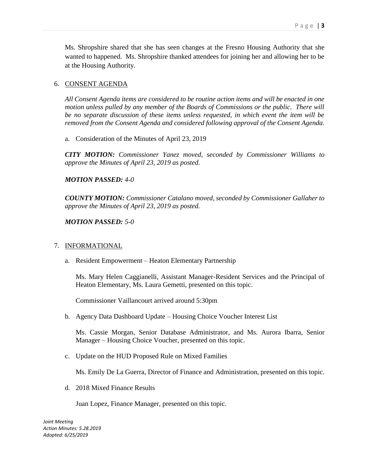Ms. Shropshire shared that she has seen changes at the Fresno Housing Authority that she wanted to happened. Ms. Shropshire thanked attendees for joining her and allowing her to be at the Housing Authority.

### 6. CONSENT AGENDA

*All Consent Agenda items are considered to be routine action items and will be enacted in one motion unless pulled by any member of the Boards of Commissions or the public. There will be no separate discussion of these items unless requested, in which event the item will be removed from the Consent Agenda and considered following approval of the Consent Agenda.*

a. Consideration of the Minutes of April 23, 2019

*CITY MOTION: Commissioner Yanez moved, seconded by Commissioner Williams to approve the Minutes of April 23, 2019 as posted.*

### *MOTION PASSED: 4-0*

*COUNTY MOTION: Commissioner Catalano moved, seconded by Commissioner Gallaher to approve the Minutes of April 23, 2019 as posted.*

#### *MOTION PASSED: 5-0*

#### 7. INFORMATIONAL

a. Resident Empowerment – Heaton Elementary Partnership

Ms. Mary Helen Caggianelli, Assistant Manager-Resident Services and the Principal of Heaton Elementary, Ms. Laura Gemetti, presented on this topic.

Commissioner Vaillancourt arrived around 5:30pm

b. Agency Data Dashboard Update – Housing Choice Voucher Interest List

Ms. Cassie Morgan, Senior Database Administrator, and Ms. Aurora Ibarra, Senior Manager – Housing Choice Voucher, presented on this topic.

c. Update on the HUD Proposed Rule on Mixed Families

Ms. Emily De La Guerra, Director of Finance and Administration, presented on this topic.

d. 2018 Mixed Finance Results

Juan Lopez, Finance Manager, presented on this topic.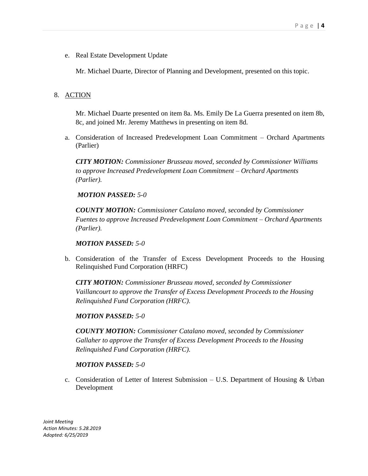e. Real Estate Development Update

Mr. Michael Duarte, Director of Planning and Development, presented on this topic.

# 8. ACTION

Mr. Michael Duarte presented on item 8a. Ms. Emily De La Guerra presented on item 8b, 8c, and joined Mr. Jeremy Matthews in presenting on item 8d.

a. Consideration of Increased Predevelopment Loan Commitment – Orchard Apartments (Parlier)

*CITY MOTION: Commissioner Brusseau moved, seconded by Commissioner Williams to approve Increased Predevelopment Loan Commitment – Orchard Apartments (Parlier).*

*MOTION PASSED: 5-0*

*COUNTY MOTION: Commissioner Catalano moved, seconded by Commissioner Fuentes to approve Increased Predevelopment Loan Commitment – Orchard Apartments (Parlier).*

### *MOTION PASSED: 5-0*

b. Consideration of the Transfer of Excess Development Proceeds to the Housing Relinquished Fund Corporation (HRFC)

*CITY MOTION: Commissioner Brusseau moved, seconded by Commissioner Vaillancourt to approve the Transfer of Excess Development Proceeds to the Housing Relinquished Fund Corporation (HRFC).*

### *MOTION PASSED: 5-0*

*COUNTY MOTION: Commissioner Catalano moved, seconded by Commissioner Gallaher to approve the Transfer of Excess Development Proceeds to the Housing Relinquished Fund Corporation (HRFC).*

### *MOTION PASSED: 5-0*

c. Consideration of Letter of Interest Submission – U.S. Department of Housing & Urban Development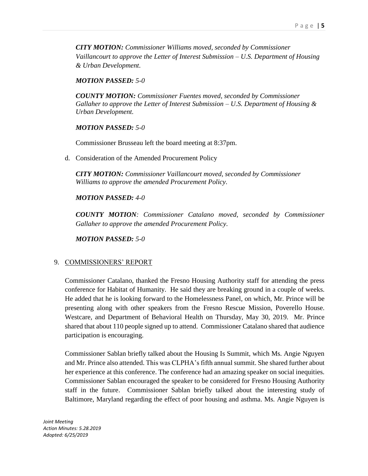*CITY MOTION: Commissioner Williams moved, seconded by Commissioner Vaillancourt to approve the Letter of Interest Submission – U.S. Department of Housing & Urban Development.*

### *MOTION PASSED: 5-0*

*COUNTY MOTION: Commissioner Fuentes moved, seconded by Commissioner Gallaher to approve the Letter of Interest Submission – U.S. Department of Housing & Urban Development.* 

### *MOTION PASSED: 5-0*

Commissioner Brusseau left the board meeting at 8:37pm.

d. Consideration of the Amended Procurement Policy

*CITY MOTION: Commissioner Vaillancourt moved, seconded by Commissioner Williams to approve the amended Procurement Policy.*

### *MOTION PASSED: 4-0*

*COUNTY MOTION: Commissioner Catalano moved, seconded by Commissioner Gallaher to approve the amended Procurement Policy.* 

*MOTION PASSED: 5-0*

### 9. COMMISSIONERS' REPORT

Commissioner Catalano, thanked the Fresno Housing Authority staff for attending the press conference for Habitat of Humanity. He said they are breaking ground in a couple of weeks. He added that he is looking forward to the Homelessness Panel, on which, Mr. Prince will be presenting along with other speakers from the Fresno Rescue Mission, Poverello House. Westcare, and Department of Behavioral Health on Thursday, May 30, 2019. Mr. Prince shared that about 110 people signed up to attend. Commissioner Catalano shared that audience participation is encouraging.

Commissioner Sablan briefly talked about the Housing Is Summit, which Ms. Angie Nguyen and Mr. Prince also attended. This was CLPHA's fifth annual summit. She shared further about her experience at this conference. The conference had an amazing speaker on social inequities. Commissioner Sablan encouraged the speaker to be considered for Fresno Housing Authority staff in the future. Commissioner Sablan briefly talked about the interesting study of Baltimore, Maryland regarding the effect of poor housing and asthma. Ms. Angie Nguyen is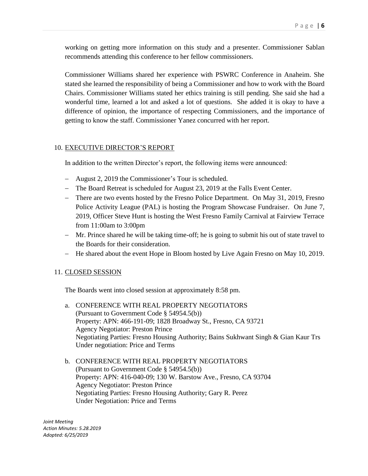working on getting more information on this study and a presenter. Commissioner Sablan recommends attending this conference to her fellow commissioners.

Commissioner Williams shared her experience with PSWRC Conference in Anaheim. She stated she learned the responsibility of being a Commissioner and how to work with the Board Chairs. Commissioner Williams stated her ethics training is still pending. She said she had a wonderful time, learned a lot and asked a lot of questions. She added it is okay to have a difference of opinion, the importance of respecting Commissioners, and the importance of getting to know the staff. Commissioner Yanez concurred with her report.

### 10. EXECUTIVE DIRECTOR'S REPORT

In addition to the written Director's report, the following items were announced:

- August 2, 2019 the Commissioner's Tour is scheduled.
- The Board Retreat is scheduled for August 23, 2019 at the Falls Event Center.
- There are two events hosted by the Fresno Police Department. On May 31, 2019, Fresno Police Activity League (PAL) is hosting the Program Showcase Fundraiser. On June 7, 2019, Officer Steve Hunt is hosting the West Fresno Family Carnival at Fairview Terrace from 11:00am to 3:00pm
- Mr. Prince shared he will be taking time-off; he is going to submit his out of state travel to the Boards for their consideration.
- He shared about the event Hope in Bloom hosted by Live Again Fresno on May 10, 2019.

### 11. CLOSED SESSION

The Boards went into closed session at approximately 8:58 pm.

- a. CONFERENCE WITH REAL PROPERTY NEGOTIATORS (Pursuant to Government Code § 54954.5(b)) Property: APN: 466-191-09; 1828 Broadway St., Fresno, CA 93721 Agency Negotiator: Preston Prince Negotiating Parties: Fresno Housing Authority; Bains Sukhwant Singh & Gian Kaur Trs Under negotiation: Price and Terms
- b. CONFERENCE WITH REAL PROPERTY NEGOTIATORS (Pursuant to Government Code § 54954.5(b)) Property: APN: 416-040-09; 130 W. Barstow Ave., Fresno, CA 93704 Agency Negotiator: Preston Prince Negotiating Parties: Fresno Housing Authority; Gary R. Perez Under Negotiation: Price and Terms